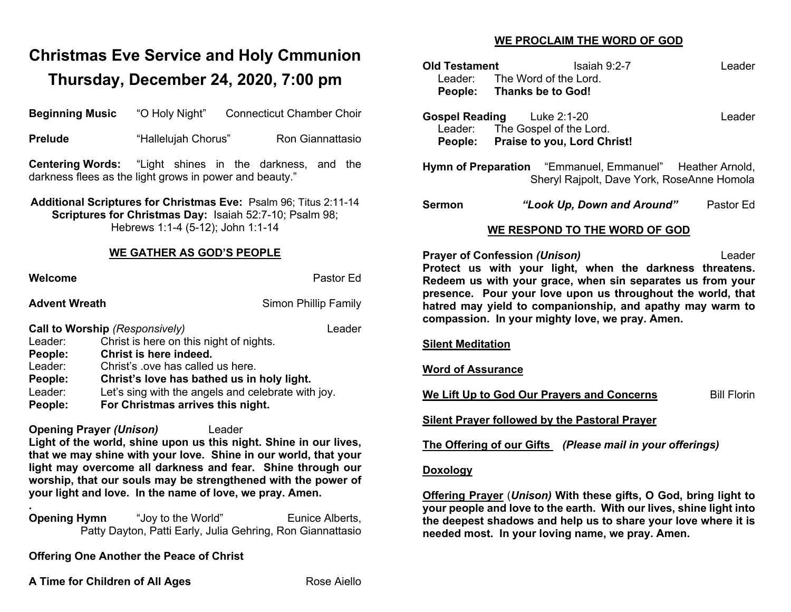# **Christmas Eve Service and Holy Cmmunion Thursday, December 24, 2020, 7:00 pm**

**Beginning Music** "O Holy Night" Connecticut Chamber Choir

| <b>Prelude</b>       | "Hallelujah Chorus"                                                                                                                                                     | Ron Giannattasio     | People:                   |
|----------------------|-------------------------------------------------------------------------------------------------------------------------------------------------------------------------|----------------------|---------------------------|
|                      | <b>Centering Words:</b> "Light shines in the darkness, and the<br>darkness flees as the light grows in power and beauty."                                               |                      | <b>Hymn of Pre</b>        |
|                      | Additional Scriptures for Christmas Eve: Psalm 96; Titus 2:11-14<br><b>Scriptures for Christmas Day: Isaiah 52:7-10; Psalm 98;</b><br>Hebrews 1:1-4 (5-12); John 1:1-14 |                      | <b>Sermon</b>             |
|                      | <b>WE GATHER AS GOD'S PEOPLE</b>                                                                                                                                        |                      | <b>Prayer of Co</b>       |
| Welcome              |                                                                                                                                                                         | Pastor Ed            | Protect us<br>Redeem us   |
| <b>Advent Wreath</b> |                                                                                                                                                                         | Simon Phillip Family | presence. F<br>hatred may |
|                      | Call to Worship (Responsively)                                                                                                                                          | Leader               | compassion                |
| Leader:<br>People:   | Christ is here on this night of nights.<br>Christ is here indeed.                                                                                                       |                      | <b>Silent Medita</b>      |
| Leader:<br>People:   | Christ's love has called us here.                                                                                                                                       |                      | <b>Word of Ass</b>        |
| Leader:<br>People:   | Christ's love has bathed us in holy light.<br>Let's sing with the angels and celebrate with joy.<br>For Christmas arrives this night.                                   |                      | We Lift Up to             |
|                      | <b>Opening Prayer (Unison)</b><br>Leader                                                                                                                                |                      | <b>Silent Praye</b>       |
|                      | Light of the world, shine upon us this night. Shine in our lives,                                                                                                       |                      | <b>The Offering</b>       |

**that we may shine with your love. Shine in our world, that your light may overcome all darkness and fear. Shine through our worship, that our souls may be strengthened with the power of your light and love. In the name of love, we pray. Amen.**

**Opening Hymn** "Joy to the World" Eunice Alberts, Patty Dayton, Patti Early, Julia Gehring, Ron Giannattasio

**Offering One Another the Peace of Christ**

**A Time for Children of All Ages** Rose Aiello

**.**

## **WE PROCLAIM THE WORD OF GOD**

| <b>Old Testament</b><br>Leader:<br>People:                                                                                                                                                                                                                                                                                                                                          | The Word of the Lord.<br><b>Thanks be to God!</b>                                     | Isaiah $9:2-7$                                            | Leader    |  |  |
|-------------------------------------------------------------------------------------------------------------------------------------------------------------------------------------------------------------------------------------------------------------------------------------------------------------------------------------------------------------------------------------|---------------------------------------------------------------------------------------|-----------------------------------------------------------|-----------|--|--|
| <b>Gospel Reading</b>                                                                                                                                                                                                                                                                                                                                                               | Luke 2:1-20<br>Leader: The Gospel of the Lord.<br>People: Praise to you, Lord Christ! |                                                           | Leader    |  |  |
| Hymn of Preparation "Emmanuel, Emmanuel" Heather Arnold,<br>Sheryl Rajpolt, Dave York, RoseAnne Homola                                                                                                                                                                                                                                                                              |                                                                                       |                                                           |           |  |  |
| <b>Sermon</b>                                                                                                                                                                                                                                                                                                                                                                       |                                                                                       | "Look Up, Down and Around"                                | Pastor Ed |  |  |
| WE RESPOND TO THE WORD OF GOD                                                                                                                                                                                                                                                                                                                                                       |                                                                                       |                                                           |           |  |  |
| <b>Prayer of Confession (Unison)</b><br>Leader<br>Protect us with your light, when the darkness threatens.<br>Redeem us with your grace, when sin separates us from your<br>presence. Pour your love upon us throughout the world, that<br>hatred may yield to companionship, and apathy may warm to<br>compassion. In your mighty love, we pray. Amen.<br><b>Silent Meditation</b> |                                                                                       |                                                           |           |  |  |
| <b>Word of Assurance</b>                                                                                                                                                                                                                                                                                                                                                            |                                                                                       |                                                           |           |  |  |
| <b>Bill Florin</b><br>We Lift Up to God Our Prayers and Concerns                                                                                                                                                                                                                                                                                                                    |                                                                                       |                                                           |           |  |  |
|                                                                                                                                                                                                                                                                                                                                                                                     |                                                                                       | <b>Silent Prayer followed by the Pastoral Prayer</b>      |           |  |  |
|                                                                                                                                                                                                                                                                                                                                                                                     |                                                                                       |                                                           |           |  |  |
|                                                                                                                                                                                                                                                                                                                                                                                     |                                                                                       | The Offering of our Gifts (Please mail in your offerings) |           |  |  |
| <b>Doxology</b>                                                                                                                                                                                                                                                                                                                                                                     |                                                                                       |                                                           |           |  |  |

**the deepest shadows and help us to share your love where it is** 

**needed most. In your loving name, we pray. Amen.**